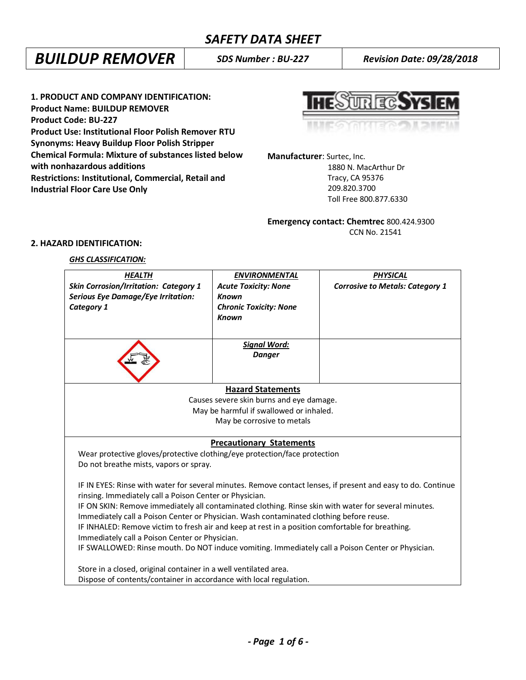## *SAFETY DATA SHEET*

# *BUILDUP REMOVER SDS Number : BU-227 Revision Date: 09/28/2018*

**1. PRODUCT AND COMPANY IDENTIFICATION: Product Name: BUILDUP REMOVER Product Code: BU-227 Product Use: Institutional Floor Polish Remover RTU Synonyms: Heavy Buildup Floor Polish Stripper Chemical Formula: Mixture of substances listed below with nonhazardous additions Restrictions: Institutional, Commercial, Retail and Industrial Floor Care Use Only**



**Manufacturer**: Surtec, Inc.

 1880 N. MacArthur Dr Tracy, CA 95376 209.820.3700 Toll Free 800.877.6330

## **Emergency contact: Chemtrec** 800.424.9300 CCN No. 21541

## **2. HAZARD IDENTIFICATION:**

## *GHS CLASSIFICATION:*

| <b>HEALTH</b>                                                                                                                                                                               | <b>ENVIRONMENTAL</b>                    | <b>PHYSICAL</b>                                                                                              |  |
|---------------------------------------------------------------------------------------------------------------------------------------------------------------------------------------------|-----------------------------------------|--------------------------------------------------------------------------------------------------------------|--|
| <b>Skin Corrosion/Irritation: Category 1</b>                                                                                                                                                | <b>Acute Toxicity: None</b>             | <b>Corrosive to Metals: Category 1</b>                                                                       |  |
| <b>Serious Eye Damage/Eye Irritation:</b>                                                                                                                                                   | <b>Known</b>                            |                                                                                                              |  |
| Category 1                                                                                                                                                                                  | <b>Chronic Toxicity: None</b>           |                                                                                                              |  |
|                                                                                                                                                                                             | <b>Known</b>                            |                                                                                                              |  |
|                                                                                                                                                                                             |                                         |                                                                                                              |  |
|                                                                                                                                                                                             | <b>Signal Word:</b>                     |                                                                                                              |  |
|                                                                                                                                                                                             | <b>Danger</b>                           |                                                                                                              |  |
|                                                                                                                                                                                             |                                         |                                                                                                              |  |
|                                                                                                                                                                                             |                                         |                                                                                                              |  |
|                                                                                                                                                                                             | <b>Hazard Statements</b>                |                                                                                                              |  |
| Causes severe skin burns and eye damage.                                                                                                                                                    |                                         |                                                                                                              |  |
|                                                                                                                                                                                             | May be harmful if swallowed or inhaled. |                                                                                                              |  |
|                                                                                                                                                                                             | May be corrosive to metals              |                                                                                                              |  |
|                                                                                                                                                                                             |                                         |                                                                                                              |  |
|                                                                                                                                                                                             | <b>Precautionary Statements</b>         |                                                                                                              |  |
| Wear protective gloves/protective clothing/eye protection/face protection                                                                                                                   |                                         |                                                                                                              |  |
| Do not breathe mists, vapors or spray.                                                                                                                                                      |                                         |                                                                                                              |  |
|                                                                                                                                                                                             |                                         | IF IN EYES: Rinse with water for several minutes. Remove contact lenses, if present and easy to do. Continue |  |
|                                                                                                                                                                                             |                                         |                                                                                                              |  |
| rinsing. Immediately call a Poison Center or Physician.                                                                                                                                     |                                         |                                                                                                              |  |
| IF ON SKIN: Remove immediately all contaminated clothing. Rinse skin with water for several minutes.                                                                                        |                                         |                                                                                                              |  |
| Immediately call a Poison Center or Physician. Wash contaminated clothing before reuse.<br>IF INHALED: Remove victim to fresh air and keep at rest in a position comfortable for breathing. |                                         |                                                                                                              |  |
| Immediately call a Poison Center or Physician.                                                                                                                                              |                                         |                                                                                                              |  |
|                                                                                                                                                                                             |                                         |                                                                                                              |  |
| IF SWALLOWED: Rinse mouth. Do NOT induce vomiting. Immediately call a Poison Center or Physician.                                                                                           |                                         |                                                                                                              |  |
| Store in a closed, original container in a well ventilated area.                                                                                                                            |                                         |                                                                                                              |  |
| Dispose of contents/container in accordance with local regulation.                                                                                                                          |                                         |                                                                                                              |  |
|                                                                                                                                                                                             |                                         |                                                                                                              |  |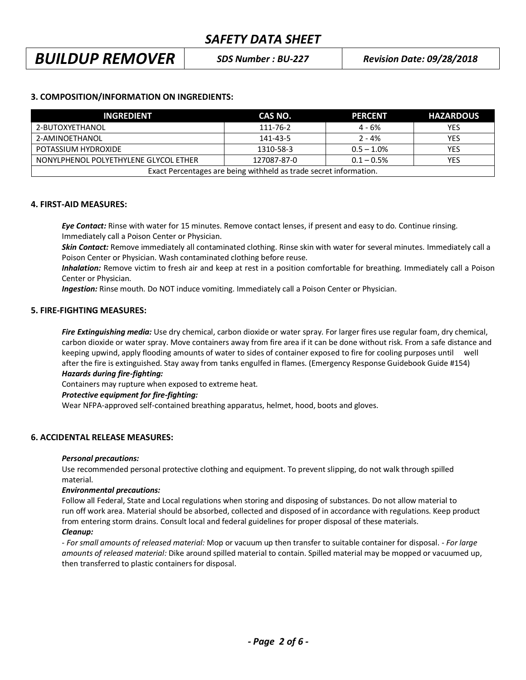## *BUILDUP REMOVER SDS Number : BU-227 Revision Date: 09/28/2018*

## **3. COMPOSITION/INFORMATION ON INGREDIENTS:**

| <b>INGREDIENT</b>                                                 | CAS NO.     | <b>PERCENT</b> | <b>HAZARDOUS</b> |
|-------------------------------------------------------------------|-------------|----------------|------------------|
| 2-BUTOXYETHANOL                                                   | 111-76-2    | 4 - 6%         | <b>YES</b>       |
| 2-AMINOETHANOL                                                    | 141-43-5    | $2 - 4%$       | <b>YES</b>       |
| POTASSIUM HYDROXIDE                                               | 1310-58-3   | $0.5 - 1.0\%$  | <b>YES</b>       |
| NONYLPHENOL POLYETHYLENE GLYCOL ETHER                             | 127087-87-0 | $0.1 - 0.5%$   | <b>YES</b>       |
| Exact Percentages are being withheld as trade secret information. |             |                |                  |

## **4. FIRST-AID MEASURES:**

*Eye Contact:* Rinse with water for 15 minutes. Remove contact lenses, if present and easy to do. Continue rinsing. Immediately call a Poison Center or Physician.

*Skin Contact:* Remove immediately all contaminated clothing. Rinse skin with water for several minutes. Immediately call a Poison Center or Physician. Wash contaminated clothing before reuse.

 *Inhalation:* Remove victim to fresh air and keep at rest in a position comfortable for breathing. Immediately call a Poison Center or Physician.

*Ingestion:* Rinse mouth. Do NOT induce vomiting. Immediately call a Poison Center or Physician.

## **5. FIRE-FIGHTING MEASURES:**

*Fire Extinguishing media:* Use dry chemical, carbon dioxide or water spray. For larger fires use regular foam, dry chemical, carbon dioxide or water spray. Move containers away from fire area if it can be done without risk. From a safe distance and keeping upwind, apply flooding amounts of water to sides of container exposed to fire for cooling purposes until well after the fire is extinguished. Stay away from tanks engulfed in flames. (Emergency Response Guidebook Guide #154)

## *Hazards during fire-fighting:*

Containers may rupture when exposed to extreme heat.

## *Protective equipment for fire-fighting:*

Wear NFPA-approved self-contained breathing apparatus, helmet, hood, boots and gloves.

## **6. ACCIDENTAL RELEASE MEASURES:**

## *Personal precautions:*

Use recommended personal protective clothing and equipment. To prevent slipping, do not walk through spilled material.

#### *Environmental precautions:*

Follow all Federal, State and Local regulations when storing and disposing of substances. Do not allow material to run off work area. Material should be absorbed, collected and disposed of in accordance with regulations. Keep product from entering storm drains. Consult local and federal guidelines for proper disposal of these materials.

## *Cleanup:*

*- For small amounts of released material:* Mop or vacuum up then transfer to suitable container for disposal. - *For large amounts of released material:* Dike around spilled material to contain. Spilled material may be mopped or vacuumed up, then transferred to plastic containers for disposal.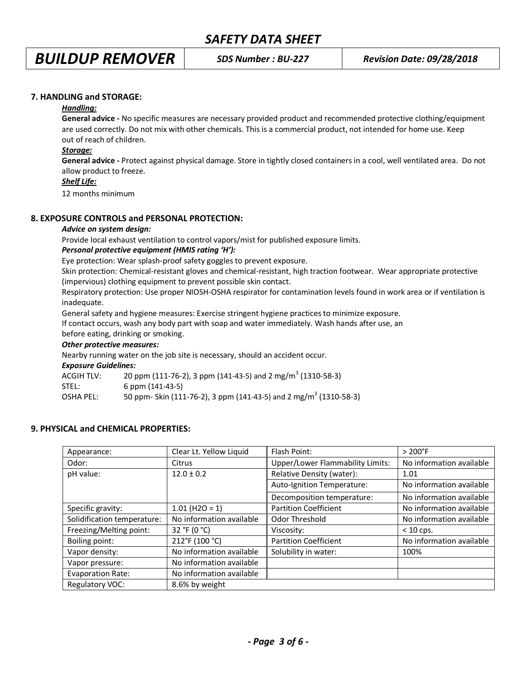## **7. HANDLING and STORAGE:**

#### *Handling:*

**General advice -** No specific measures are necessary provided product and recommended protective clothing/equipment are used correctly. Do not mix with other chemicals. This is a commercial product, not intended for home use. Keep out of reach of children.

#### *Storage:*

**General advice -** Protect against physical damage. Store in tightly closed containers in a cool, well ventilated area. Do not allow product to freeze.

## *Shelf Life:*

12 months minimum

## **8. EXPOSURE CONTROLS and PERSONAL PROTECTION:**

#### *Advice on system design:*

Provide local exhaust ventilation to control vapors/mist for published exposure limits.

## *Personal protective equipment (HMIS rating 'H'):*

Eye protection: Wear splash-proof safety goggles to prevent exposure.

Skin protection: Chemical-resistant gloves and chemical-resistant, high traction footwear. Wear appropriate protective (impervious) clothing equipment to prevent possible skin contact.

Respiratory protection: Use proper NIOSH-OSHA respirator for contamination levels found in work area or if ventilation is inadequate.

General safety and hygiene measures: Exercise stringent hygiene practices to minimize exposure.

If contact occurs, wash any body part with soap and water immediately. Wash hands after use, an

before eating, drinking or smoking.

## *Other protective measures:*

Nearby running water on the job site is necessary, should an accident occur.

*Exposure Guidelines:*

| ACGIH TLV: | 20 ppm (111-76-2), 3 ppm (141-43-5) and 2 mg/m <sup>3</sup> (1310-58-3)       |
|------------|-------------------------------------------------------------------------------|
| STEL:      | $6$ ppm $(141-43-5)$                                                          |
| OSHA PEL:  | 50 ppm- Skin (111-76-2), 3 ppm (141-43-5) and 2 mg/m <sup>3</sup> (1310-58-3) |

## **9. PHYSICAL and CHEMICAL PROPERTIES:**

| Appearance:                 | Clear Lt. Yellow Liquid  | Flash Point:                            | $>200^{\circ}$ F         |
|-----------------------------|--------------------------|-----------------------------------------|--------------------------|
| Odor:                       | Citrus                   | <b>Upper/Lower Flammability Limits:</b> | No information available |
| pH value:                   | $12.0 \pm 0.2$           | Relative Density (water):               | 1.01                     |
|                             |                          | Auto-Ignition Temperature:              | No information available |
|                             |                          | Decomposition temperature:              | No information available |
| Specific gravity:           | $1.01$ (H2O = 1)         | <b>Partition Coefficient</b>            | No information available |
| Solidification temperature: | No information available | Odor Threshold                          | No information available |
| Freezing/Melting point:     | 32 °F (0 °C)             | Viscosity:                              | $< 10$ cps.              |
| Boiling point:              | 212°F (100 °C)           | <b>Partition Coefficient</b>            | No information available |
| Vapor density:              | No information available | Solubility in water:                    | 100%                     |
| Vapor pressure:             | No information available |                                         |                          |
| <b>Evaporation Rate:</b>    | No information available |                                         |                          |
| <b>Regulatory VOC:</b>      | 8.6% by weight           |                                         |                          |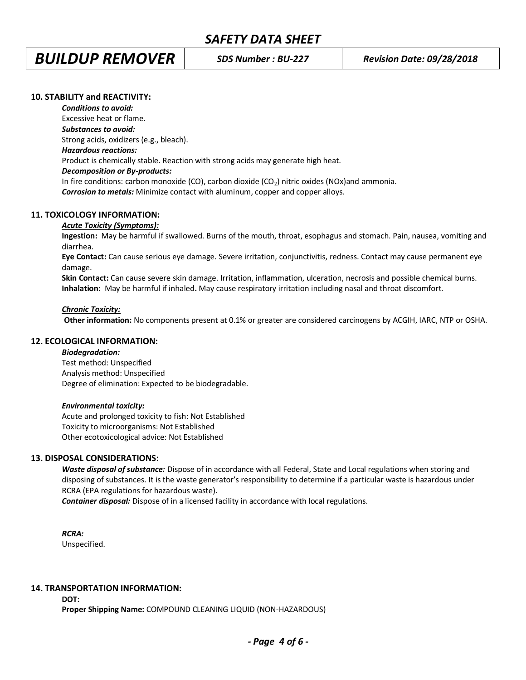# *BUILDUP REMOVER SDS Number : BU-227 Revision Date: 09/28/2018*

## **10. STABILITY and REACTIVITY:**

*Conditions to avoid:*

Excessive heat or flame. *Substances to avoid:* Strong acids, oxidizers (e.g., bleach). *Hazardous reactions:* Product is chemically stable. Reaction with strong acids may generate high heat. *Decomposition or By-products:* In fire conditions: carbon monoxide (CO), carbon dioxide ( $CO<sub>2</sub>$ ) nitric oxides (NOx)and ammonia. *Corrosion to metals:* Minimize contact with aluminum, copper and copper alloys.

## **11. TOXICOLOGY INFORMATION:**

## *Acute Toxicity (Symptoms):*

**Ingestion:** May be harmful if swallowed. Burns of the mouth, throat, esophagus and stomach. Pain, nausea, vomiting and diarrhea.

**Eye Contact:** Can cause serious eye damage. Severe irritation, conjunctivitis, redness. Contact may cause permanent eye damage.

**Skin Contact:** Can cause severe skin damage. Irritation, inflammation, ulceration, necrosis and possible chemical burns. **Inhalation:** May be harmful if inhaled**.** May cause respiratory irritation including nasal and throat discomfort.

#### *Chronic Toxicity:*

 **Other information:** No components present at 0.1% or greater are considered carcinogens by ACGIH, IARC, NTP or OSHA.

#### **12. ECOLOGICAL INFORMATION:**

#### *Biodegradation:*

Test method: Unspecified Analysis method: Unspecified Degree of elimination: Expected to be biodegradable.

#### *Environmental toxicity:*

Acute and prolonged toxicity to fish: Not Established Toxicity to microorganisms: Not Established Other ecotoxicological advice: Not Established

## **13. DISPOSAL CONSIDERATIONS:**

*Waste disposal of substance:* Dispose of in accordance with all Federal, State and Local regulations when storing and disposing of substances. It is the waste generator's responsibility to determine if a particular waste is hazardous under RCRA (EPA regulations for hazardous waste).

**Container disposal:** Dispose of in a licensed facility in accordance with local regulations.

*RCRA:* Unspecified.

## **14. TRANSPORTATION INFORMATION:**

**DOT:**

**Proper Shipping Name:** COMPOUND CLEANING LIQUID (NON-HAZARDOUS)

*- Page 4 of 6 -*